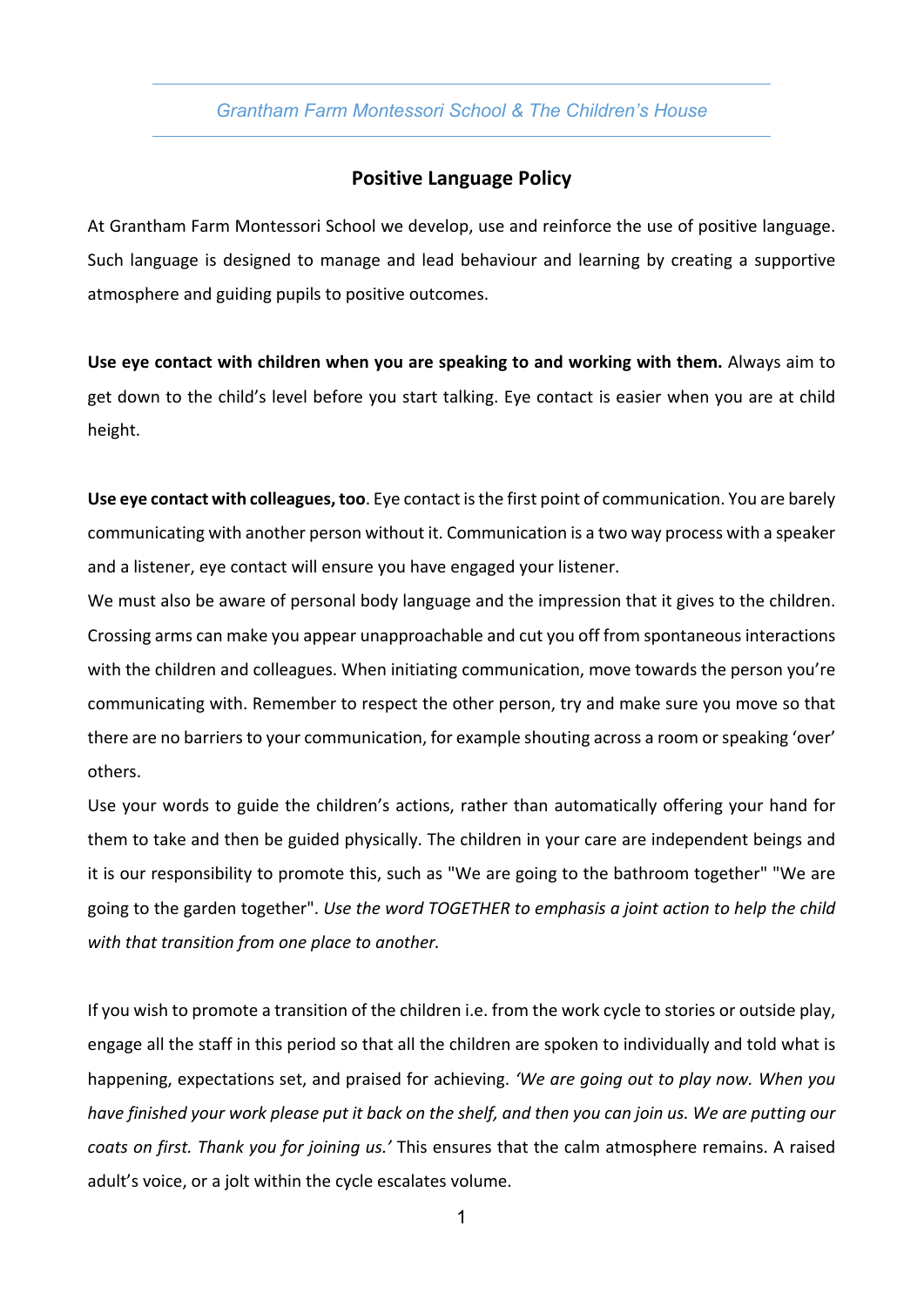# *Grantham Farm Montessori School & The Children's House*

# **Positive Language Policy**

At Grantham Farm Montessori School we develop, use and reinforce the use of positive language. Such language is designed to manage and lead behaviour and learning by creating a supportive atmosphere and guiding pupils to positive outcomes.

**Use eye contact with children when you are speaking to and working with them.** Always aim to get down to the child's level before you start talking. Eye contact is easier when you are at child height.

**Use eye contact with colleagues, too**. Eye contact is the first point of communication. You are barely communicating with another person without it. Communication is a two way process with a speaker and a listener, eye contact will ensure you have engaged your listener.

We must also be aware of personal body language and the impression that it gives to the children. Crossing arms can make you appear unapproachable and cut you off from spontaneous interactions with the children and colleagues. When initiating communication, move towards the person you're communicating with. Remember to respect the other person, try and make sure you move so that there are no barriers to your communication, for example shouting across a room or speaking 'over' others.

Use your words to guide the children's actions, rather than automatically offering your hand for them to take and then be guided physically. The children in your care are independent beings and it is our responsibility to promote this, such as "We are going to the bathroom together" "We are going to the garden together". *Use the word TOGETHER to emphasis a joint action to help the child with that transition from one place to another.*

If you wish to promote a transition of the children i.e. from the work cycle to stories or outside play, engage all the staff in this period so that all the children are spoken to individually and told what is happening, expectations set, and praised for achieving. *'We are going out to play now. When you have finished your work please put it back on the shelf, and then you can join us. We are putting our coats on first. Thank you for joining us.'* This ensures that the calm atmosphere remains. A raised adult's voice, or a jolt within the cycle escalates volume.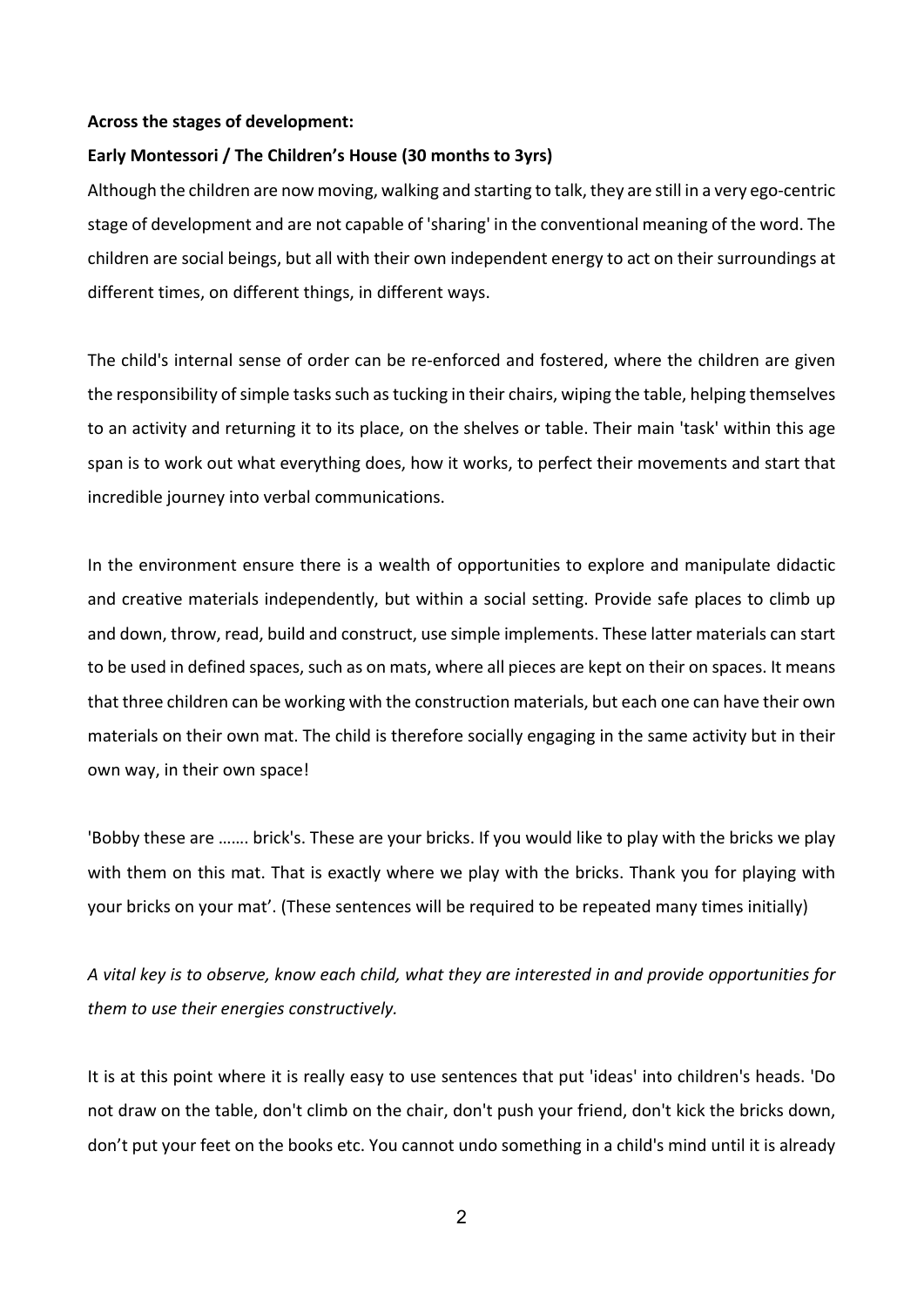#### **Across the stages of development:**

### **Early Montessori / The Children's House (30 months to 3yrs)**

Although the children are now moving, walking and starting to talk, they are still in a very ego-centric stage of development and are not capable of 'sharing' in the conventional meaning of the word. The children are social beings, but all with their own independent energy to act on their surroundings at different times, on different things, in different ways.

The child's internal sense of order can be re-enforced and fostered, where the children are given the responsibility of simple tasks such as tucking in their chairs, wiping the table, helping themselves to an activity and returning it to its place, on the shelves or table. Their main 'task' within this age span is to work out what everything does, how it works, to perfect their movements and start that incredible journey into verbal communications.

In the environment ensure there is a wealth of opportunities to explore and manipulate didactic and creative materials independently, but within a social setting. Provide safe places to climb up and down, throw, read, build and construct, use simple implements. These latter materials can start to be used in defined spaces, such as on mats, where all pieces are kept on their on spaces. It means that three children can be working with the construction materials, but each one can have their own materials on their own mat. The child is therefore socially engaging in the same activity but in their own way, in their own space!

'Bobby these are ……. brick's. These are your bricks. If you would like to play with the bricks we play with them on this mat. That is exactly where we play with the bricks. Thank you for playing with your bricks on your mat'. (These sentences will be required to be repeated many times initially)

*A vital key is to observe, know each child, what they are interested in and provide opportunities for them to use their energies constructively.*

It is at this point where it is really easy to use sentences that put 'ideas' into children's heads. 'Do not draw on the table, don't climb on the chair, don't push your friend, don't kick the bricks down, don't put your feet on the books etc. You cannot undo something in a child's mind until it is already

2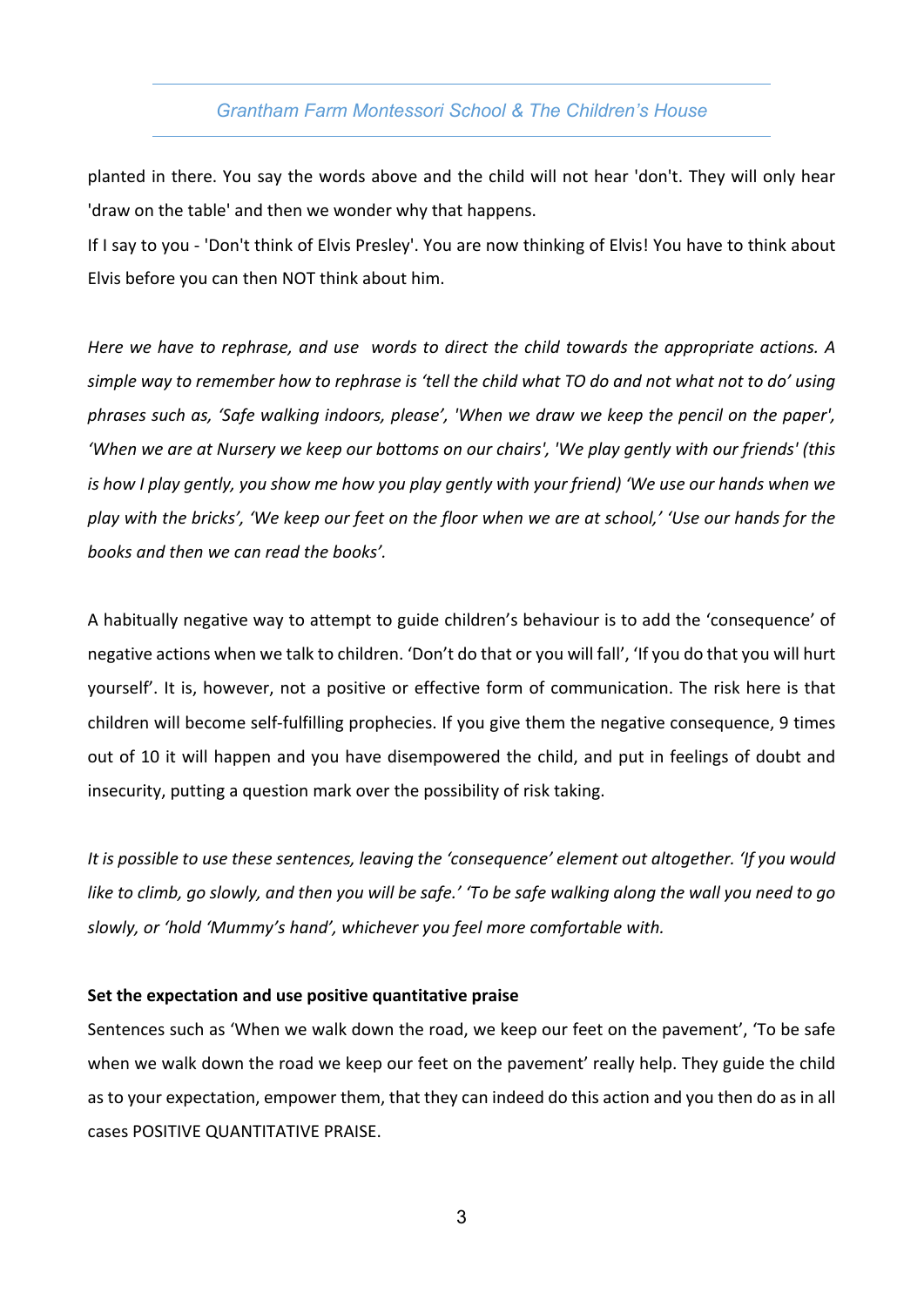# *Grantham Farm Montessori School & The Children's House*

planted in there. You say the words above and the child will not hear 'don't. They will only hear 'draw on the table' and then we wonder why that happens.

If I say to you - 'Don't think of Elvis Presley'. You are now thinking of Elvis! You have to think about Elvis before you can then NOT think about him.

*Here we have to rephrase, and use words to direct the child towards the appropriate actions. A simple way to remember how to rephrase is 'tell the child what TO do and not what not to do' using phrases such as, 'Safe walking indoors, please', 'When we draw we keep the pencil on the paper', 'When we are at Nursery we keep our bottoms on our chairs', 'We play gently with our friends' (this is how I play gently, you show me how you play gently with your friend) 'We use our hands when we play with the bricks', 'We keep our feet on the floor when we are at school,' 'Use our hands for the books and then we can read the books'.*

A habitually negative way to attempt to guide children's behaviour is to add the 'consequence' of negative actions when we talk to children. 'Don't do that or you will fall', 'If you do that you will hurt yourself'. It is, however, not a positive or effective form of communication. The risk here is that children will become self-fulfilling prophecies. If you give them the negative consequence, 9 times out of 10 it will happen and you have disempowered the child, and put in feelings of doubt and insecurity, putting a question mark over the possibility of risk taking.

*It is possible to use these sentences, leaving the 'consequence' element out altogether. 'If you would like to climb, go slowly, and then you will be safe.' 'To be safe walking along the wall you need to go slowly, or 'hold 'Mummy's hand', whichever you feel more comfortable with.*

### **Set the expectation and use positive quantitative praise**

Sentences such as 'When we walk down the road, we keep our feet on the pavement', 'To be safe when we walk down the road we keep our feet on the pavement' really help. They guide the child as to your expectation, empower them, that they can indeed do this action and you then do as in all cases POSITIVE QUANTITATIVE PRAISE.

3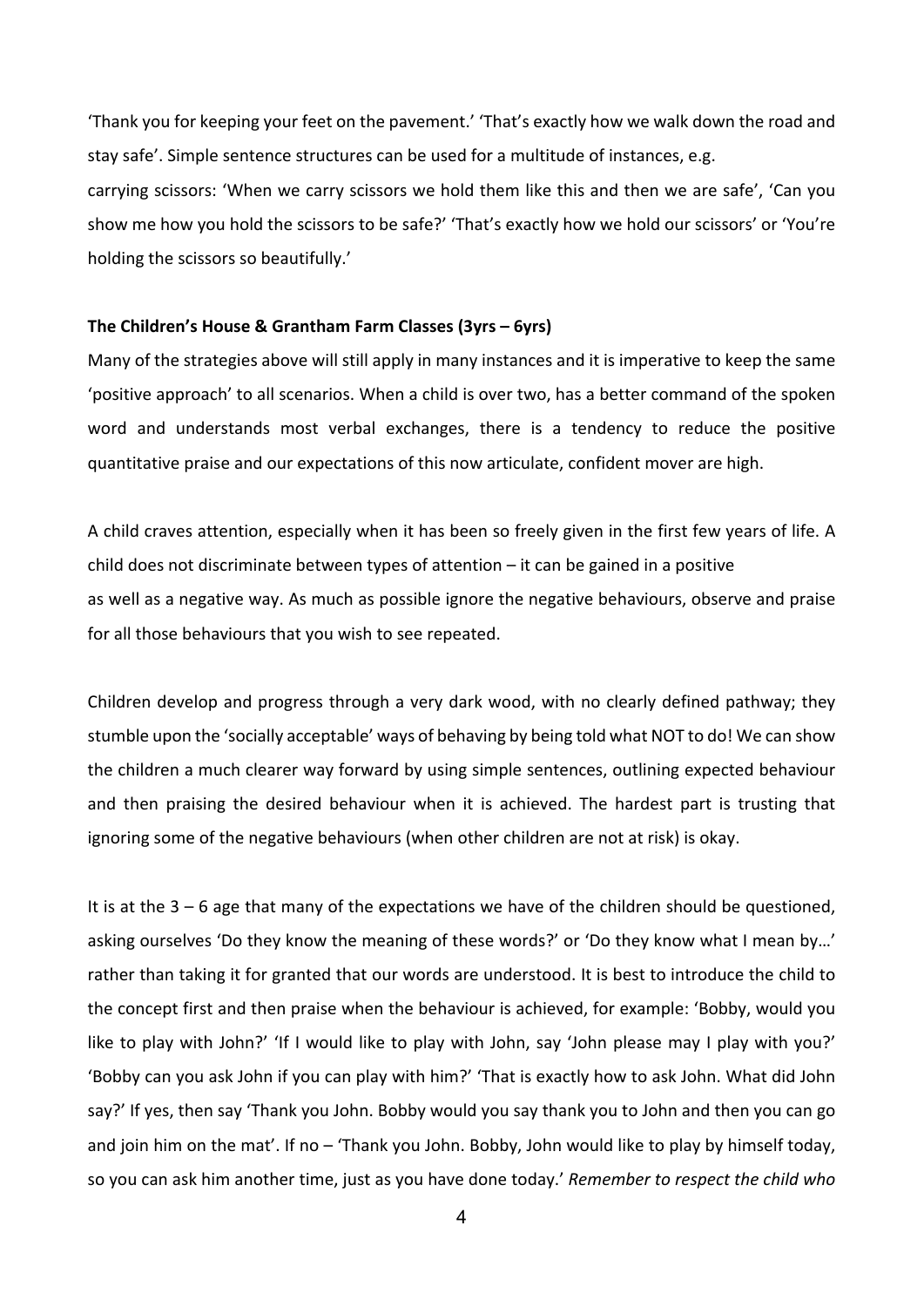'Thank you for keeping your feet on the pavement.' 'That's exactly how we walk down the road and stay safe'. Simple sentence structures can be used for a multitude of instances, e.g. carrying scissors: 'When we carry scissors we hold them like this and then we are safe', 'Can you show me how you hold the scissors to be safe?' 'That's exactly how we hold our scissors' or 'You're holding the scissors so beautifully.'

#### **The Children's House & Grantham Farm Classes (3yrs – 6yrs)**

Many of the strategies above will still apply in many instances and it is imperative to keep the same 'positive approach' to all scenarios. When a child is over two, has a better command of the spoken word and understands most verbal exchanges, there is a tendency to reduce the positive quantitative praise and our expectations of this now articulate, confident mover are high.

A child craves attention, especially when it has been so freely given in the first few years of life. A child does not discriminate between types of attention – it can be gained in a positive as well as a negative way. As much as possible ignore the negative behaviours, observe and praise for all those behaviours that you wish to see repeated.

Children develop and progress through a very dark wood, with no clearly defined pathway; they stumble upon the 'socially acceptable' ways of behaving by being told what NOT to do! We can show the children a much clearer way forward by using simple sentences, outlining expected behaviour and then praising the desired behaviour when it is achieved. The hardest part is trusting that ignoring some of the negative behaviours (when other children are not at risk) is okay.

It is at the 3 – 6 age that many of the expectations we have of the children should be questioned, asking ourselves 'Do they know the meaning of these words?' or 'Do they know what I mean by…' rather than taking it for granted that our words are understood. It is best to introduce the child to the concept first and then praise when the behaviour is achieved, for example: 'Bobby, would you like to play with John?' 'If I would like to play with John, say 'John please may I play with you?' 'Bobby can you ask John if you can play with him?' 'That is exactly how to ask John. What did John say?' If yes, then say 'Thank you John. Bobby would you say thank you to John and then you can go and join him on the mat'. If no – 'Thank you John. Bobby, John would like to play by himself today, so you can ask him another time, just as you have done today.' *Remember to respect the child who*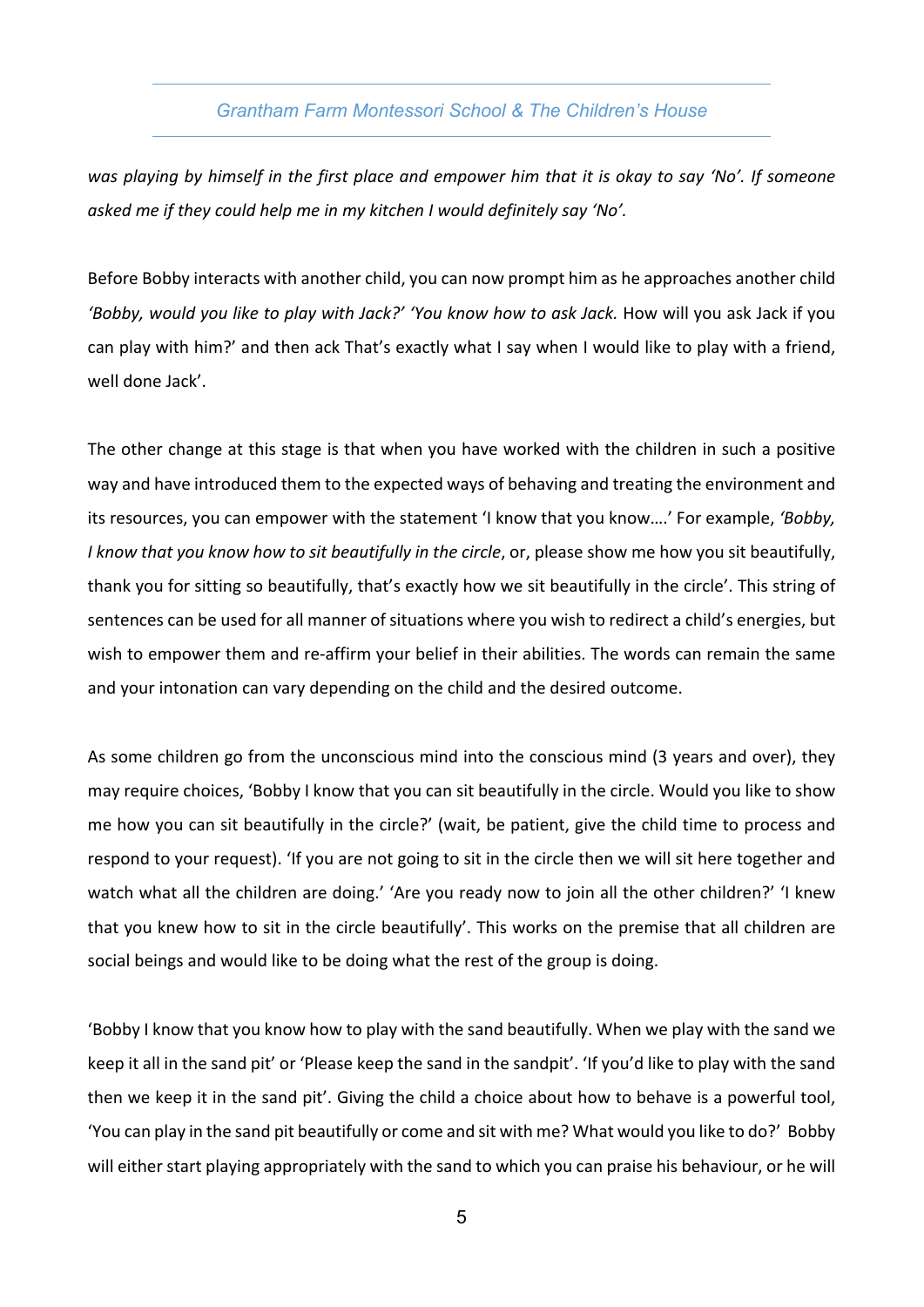# *Grantham Farm Montessori School & The Children's House*

*was playing by himself in the first place and empower him that it is okay to say 'No'. If someone asked me if they could help me in my kitchen I would definitely say 'No'.*

Before Bobby interacts with another child, you can now prompt him as he approaches another child 'Bobby, would you like to play with Jack?' 'You know how to ask Jack. How will you ask Jack if you can play with him?' and then ack That's exactly what I say when I would like to play with a friend, well done Jack'.

The other change at this stage is that when you have worked with the children in such a positive way and have introduced them to the expected ways of behaving and treating the environment and its resources, you can empower with the statement 'I know that you know….' For example, *'Bobby, I know that you know how to sit beautifully in the circle*, or, please show me how you sit beautifully, thank you for sitting so beautifully, that's exactly how we sit beautifully in the circle'. This string of sentences can be used for all manner of situations where you wish to redirect a child's energies, but wish to empower them and re-affirm your belief in their abilities. The words can remain the same and your intonation can vary depending on the child and the desired outcome.

As some children go from the unconscious mind into the conscious mind (3 years and over), they may require choices, 'Bobby I know that you can sit beautifully in the circle. Would you like to show me how you can sit beautifully in the circle?' (wait, be patient, give the child time to process and respond to your request). 'If you are not going to sit in the circle then we will sit here together and watch what all the children are doing.' 'Are you ready now to join all the other children?' 'I knew that you knew how to sit in the circle beautifully'. This works on the premise that all children are social beings and would like to be doing what the rest of the group is doing.

'Bobby I know that you know how to play with the sand beautifully. When we play with the sand we keep it all in the sand pit' or 'Please keep the sand in the sandpit'. 'If you'd like to play with the sand then we keep it in the sand pit'. Giving the child a choice about how to behave is a powerful tool, 'You can play in the sand pit beautifully or come and sit with me? What would you like to do?' Bobby will either start playing appropriately with the sand to which you can praise his behaviour, or he will

5